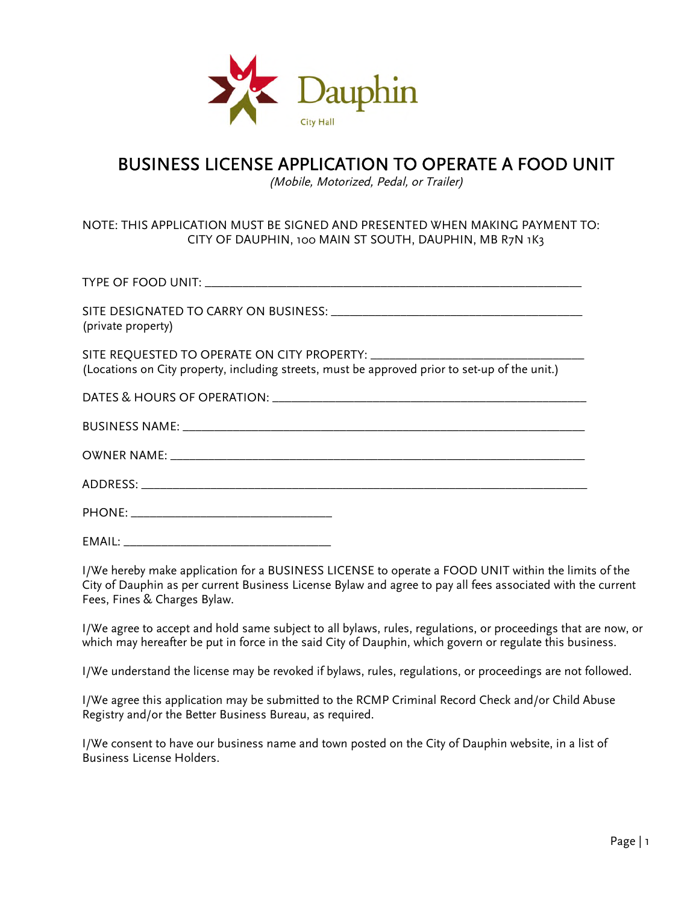

### BUSINESS LICENSE APPLICATION TO OPERATE A FOOD UNIT

(Mobile, Motorized, Pedal, or Trailer)

#### NOTE: THIS APPLICATION MUST BE SIGNED AND PRESENTED WHEN MAKING PAYMENT TO: CITY OF DAUPHIN, 100 MAIN ST SOUTH, DAUPHIN, MB R7N 1K3

| (private property)                                                                             |
|------------------------------------------------------------------------------------------------|
| (Locations on City property, including streets, must be approved prior to set-up of the unit.) |
|                                                                                                |
|                                                                                                |
|                                                                                                |
|                                                                                                |
|                                                                                                |
| EMAIL:                                                                                         |

I/We hereby make application for a BUSINESS LICENSE to operate a FOOD UNIT within the limits of the City of Dauphin as per current Business License Bylaw and agree to pay all fees associated with the current Fees, Fines & Charges Bylaw.

I/We agree to accept and hold same subject to all bylaws, rules, regulations, or proceedings that are now, or which may hereafter be put in force in the said City of Dauphin, which govern or regulate this business.

I/We understand the license may be revoked if bylaws, rules, regulations, or proceedings are not followed.

I/We agree this application may be submitted to the RCMP Criminal Record Check and/or Child Abuse Registry and/or the Better Business Bureau, as required.

I/We consent to have our business name and town posted on the City of Dauphin website, in a list of Business License Holders.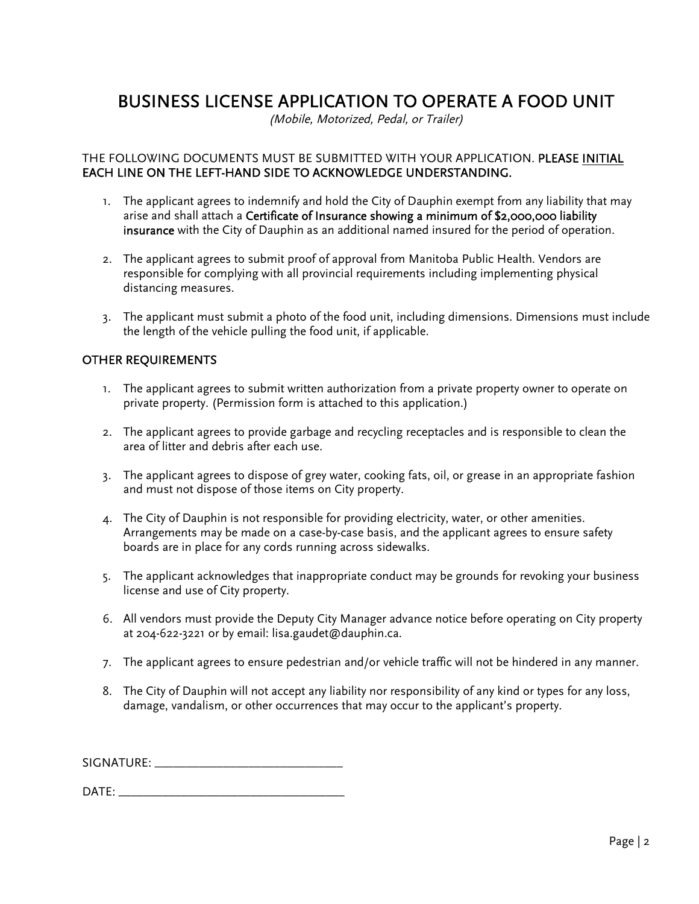## BUSINESS LICENSE APPLICATION TO OPERATE A FOOD UNIT

(Mobile, Motorized, Pedal, or Trailer)

#### THE FOLLOWING DOCUMENTS MUST BE SUBMITTED WITH YOUR APPLICATION. PLEASE INITIAL EACH LINE ON THE LEFT-HAND SIDE TO ACKNOWLEDGE UNDERSTANDING.

- 1. The applicant agrees to indemnify and hold the City of Dauphin exempt from any liability that may arise and shall attach a Certificate of Insurance showing a minimum of \$2,000,000 liability insurance with the City of Dauphin as an additional named insured for the period of operation.
- 2. The applicant agrees to submit proof of approval from Manitoba Public Health. Vendors are responsible for complying with all provincial requirements including implementing physical distancing measures.
- 3. The applicant must submit a photo of the food unit, including dimensions. Dimensions must include the length of the vehicle pulling the food unit, if applicable.

#### OTHER REQUIREMENTS

- 1. The applicant agrees to submit written authorization from a private property owner to operate on private property. (Permission form is attached to this application.)
- 2. The applicant agrees to provide garbage and recycling receptacles and is responsible to clean the area of litter and debris after each use.
- 3. The applicant agrees to dispose of grey water, cooking fats, oil, or grease in an appropriate fashion and must not dispose of those items on City property.
- 4. The City of Dauphin is not responsible for providing electricity, water, or other amenities. Arrangements may be made on a case-by-case basis, and the applicant agrees to ensure safety boards are in place for any cords running across sidewalks.
- 5. The applicant acknowledges that inappropriate conduct may be grounds for revoking your business license and use of City property.
- 6. All vendors must provide the Deputy City Manager advance notice before operating on City property at 204-622-3221 or by email: lisa.gaudet@dauphin.ca.
- 7. The applicant agrees to ensure pedestrian and/or vehicle traffic will not be hindered in any manner.
- 8. The City of Dauphin will not accept any liability nor responsibility of any kind or types for any loss, damage, vandalism, or other occurrences that may occur to the applicant's property.

SIGNATURE: \_\_\_\_\_\_\_\_\_\_\_\_\_\_\_\_\_\_\_\_\_\_\_\_\_\_\_\_\_\_

DATE: \_\_\_\_\_\_\_\_\_\_\_\_\_\_\_\_\_\_\_\_\_\_\_\_\_\_\_\_\_\_\_\_\_\_\_\_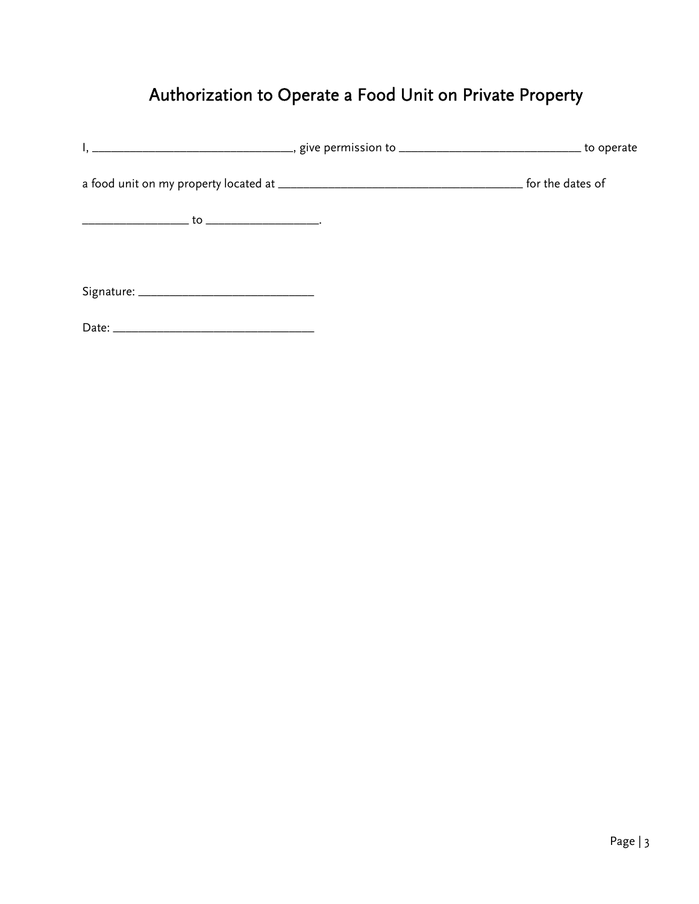# Authorization to Operate a Food Unit on Private Property